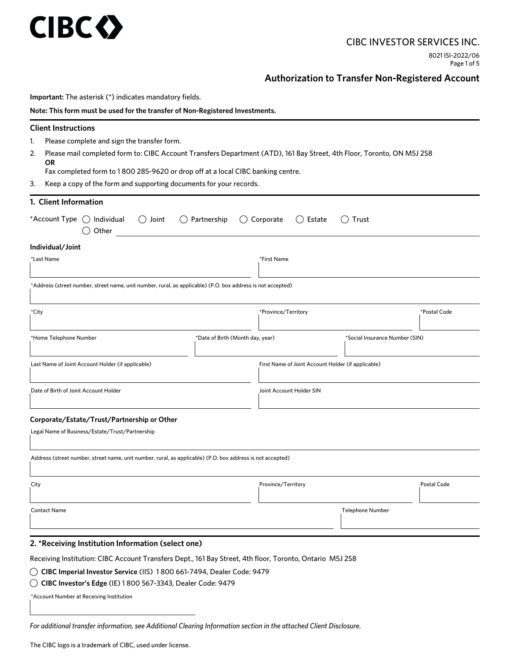# **CIBC <>>>>>>**

# CIBC INVESTOR SERVICES INC.

8021 ISI-2022/06 Page 1 of 5

# **Authorization to Transfer Non-Registered Account**

| Important: The asterisk (*) indicates mandatory fields.                                                                       |                                                                    |                                |              |  |
|-------------------------------------------------------------------------------------------------------------------------------|--------------------------------------------------------------------|--------------------------------|--------------|--|
| Note: This form must be used for the transfer of Non-Registered Investments.                                                  |                                                                    |                                |              |  |
| <b>Client Instructions</b>                                                                                                    |                                                                    |                                |              |  |
| 1.<br>Please complete and sign the transfer form.                                                                             |                                                                    |                                |              |  |
| Please mail completed form to: CIBC Account Transfers Department (ATD), 161 Bay Street, 4th Floor, Toronto, ON M5J 2S8<br>OR. |                                                                    |                                |              |  |
| Fax completed form to 1800 285-9620 or drop off at a local CIBC banking centre.                                               |                                                                    |                                |              |  |
| 3.                                                                                                                            | Keep a copy of the form and supporting documents for your records. |                                |              |  |
| 1. Client Information                                                                                                         |                                                                    |                                |              |  |
| *Account Type $\bigcirc$ Individual<br>Joint<br>Partnership<br>( )<br>$($ )<br>Other                                          | Corporate<br>( ) Estate                                            | Trust<br>()                    |              |  |
| Individual/Joint                                                                                                              |                                                                    |                                |              |  |
| *Last Name                                                                                                                    | *First Name                                                        |                                |              |  |
| *Address (street number, street name, unit number, rural, as applicable) (P.O. box address is not accepted)                   |                                                                    |                                |              |  |
| *City                                                                                                                         | *Province/Territory                                                |                                | *Postal Code |  |
| *Date of Birth (Month day, year)<br>*Home Telephone Number                                                                    |                                                                    | *Social Insurance Number (SIN) |              |  |
| Last Name of Joint Account Holder (if applicable)                                                                             | First Name of Joint Account Holder (if applicable)                 |                                |              |  |
| Date of Birth of Joint Account Holder                                                                                         | Joint Account Holder SIN                                           |                                |              |  |
| Corporate/Estate/Trust/Partnership or Other                                                                                   |                                                                    |                                |              |  |
| Legal Name of Business/Estate/Trust/Partnership                                                                               |                                                                    |                                |              |  |
| Address (street number, street name, unit number, rural, as applicable) (P.O. box address is not accepted)                    |                                                                    |                                |              |  |
| City                                                                                                                          | Province/Territory                                                 |                                | Postal Code  |  |
| <b>Contact Name</b>                                                                                                           |                                                                    | <b>Telephone Number</b>        |              |  |
| 2. *Receiving Institution Information (select one)                                                                            |                                                                    |                                |              |  |
| Receiving Institution: CIBC Account Transfers Dept., 161 Bay Street, 4th floor, Toronto, Ontario M5J 2S8                      |                                                                    |                                |              |  |
| $\bigcirc$ CIBC Imperial Investor Service (IIS) 1800 661-7494, Dealer Code: 9479                                              |                                                                    |                                |              |  |
| $\bigcirc$ CIBC Investor's Edge (IE) 1 800 567-3343, Dealer Code: 9479                                                        |                                                                    |                                |              |  |
| *Account Number at Receiving Institution                                                                                      |                                                                    |                                |              |  |

The CIBC logo is a trademark of CIBC, used under license.

*For additional transfer information, see Additional Clearing Information section in the attached Client Disclosure.*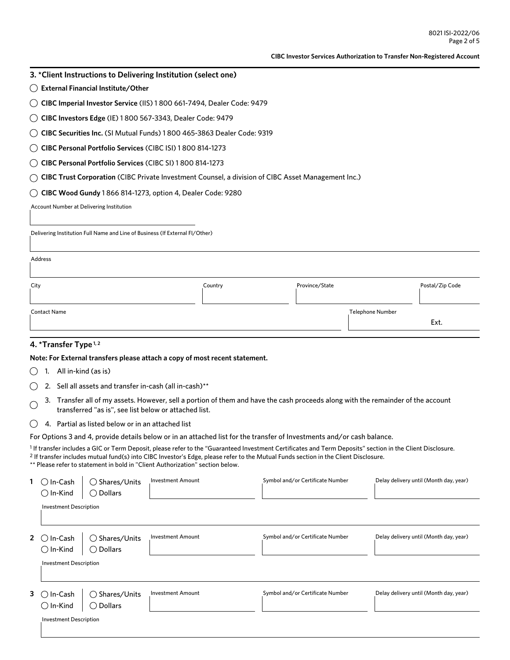#### **CIBC Investor Services Authorization to Transfer Non-Registered Account**

- **3. \*Client Instructions to Delivering Institution (select one)**
- **External Financial Institute/Other**
- **CIBC Imperial Investor Service** (IIS) 1 800 661-7494, Dealer Code: 9479
- **CIBC Investors Edge** (IE) 1 800 567-3343, Dealer Code: 9479
- **CIBC Securities Inc.** (SI Mutual Funds) 1 800 465-3863 Dealer Code: 9319
- **CIBC Personal Portfolio Services** (CIBC ISI) 1 800 814-1273
- **CIBC Personal Portfolio Services** (CIBC SI) 1 800 814-1273
- **CIBC Trust Corporation** (CIBC Private Investment Counsel, a division of CIBC Asset Management Inc.)
- **CIBC Wood Gundy** 1 866 814-1273, option 4, Dealer Code: 9280

Account Number at Delivering Institution

Delivering Institution Full Name and Line of Business (If External FI/Other)

| А | ddre |  |
|---|------|--|
|   |      |  |

| Country | Province/State | Postal/Zip Code  |
|---------|----------------|------------------|
|         |                |                  |
|         |                |                  |
|         |                | Ext.             |
|         |                | Telephone Number |

# **4. \*Transfer Type 1, 2**

**Note: For External transfers please attach a copy of most recent statement.** 

- $\bigcirc$  1. All in-kind (as is)
- $\bigcirc$  2. Sell all assets and transfer in-cash (all in-cash)<sup>\*\*</sup>
- 3. Transfer all of my assets. However, sell a portion of them and have the cash proceeds along with the remainder of the account ◯ transferred "as is", see list below or attached list.
- $\bigcirc$  4. Partial as listed below or in an attached list

For Options 3 and 4, provide details below or in an attached list for the transfer of Investments and/or cash balance.

1 If transfer includes a GIC or Term Deposit, please refer to the "Guaranteed Investment Certificates and Term Deposits" section in the Client Disclosure. <sup>2</sup> If transfer includes mutual fund(s) into CIBC Investor's Edge, please refer to the Mutual Funds section in the Client Disclosure. \*\* Please refer to statement in bold in "Client Authorization" section below.

| In-Cash<br>. .                             | $\bigcirc$ Shares/Units                       | <b>Investment Amount</b> | Symbol and/or Certificate Number | Delay delivery until (Month day, year) |
|--------------------------------------------|-----------------------------------------------|--------------------------|----------------------------------|----------------------------------------|
| $\bigcirc$ In-Kind                         | $\bigcirc$ Dollars                            |                          |                                  |                                        |
| <b>Investment Description</b>              |                                               |                          |                                  |                                        |
| 2 $\circ$<br>In-Cash<br>$\bigcirc$ In-Kind | $\bigcirc$ Shares/Units<br>$\bigcirc$ Dollars | <b>Investment Amount</b> | Symbol and/or Certificate Number | Delay delivery until (Month day, year) |
| <b>Investment Description</b>              |                                               |                          |                                  |                                        |
| $3^\circ$<br>In-Cash<br>$\bigcirc$ In-Kind | $\bigcirc$ Shares/Units<br>$\bigcirc$ Dollars | <b>Investment Amount</b> | Symbol and/or Certificate Number | Delay delivery until (Month day, year) |
| <b>Investment Description</b>              |                                               |                          |                                  |                                        |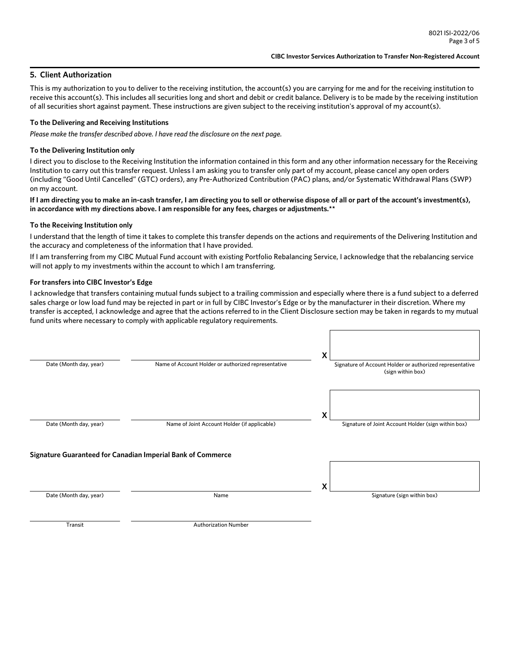### **5. Client Authorization**

This is my authorization to you to deliver to the receiving institution, the account(s) you are carrying for me and for the receiving institution to receive this account(s). This includes all securities long and short and debit or credit balance. Delivery is to be made by the receiving institution of all securities short against payment. These instructions are given subject to the receiving institution's approval of my account(s).

#### **To the Delivering and Receiving Institutions**

*Please make the transfer described above. I have read the disclosure on the next page.*

#### **To the Delivering Institution only**

I direct you to disclose to the Receiving Institution the information contained in this form and any other information necessary for the Receiving Institution to carry out this transfer request. Unless I am asking you to transfer only part of my account, please cancel any open orders (including "Good Until Cancelled" (GTC) orders), any Pre-Authorized Contribution (PAC) plans, and/or Systematic Withdrawal Plans (SWP) on my account.

**If I am directing you to make an in-cash transfer, I am directing you to sell or otherwise dispose of all or part of the account's investment(s), in accordance with my directions above. I am responsible for any fees, charges or adjustments.\*\***

#### **To the Receiving Institution only**

I understand that the length of time it takes to complete this transfer depends on the actions and requirements of the Delivering Institution and the accuracy and completeness of the information that I have provided.

If I am transferring from my CIBC Mutual Fund account with existing Portfolio Rebalancing Service, I acknowledge that the rebalancing service will not apply to my investments within the account to which I am transferring.

#### **For transfers into CIBC Investor's Edge**

I acknowledge that transfers containing mutual funds subject to a trailing commission and especially where there is a fund subject to a deferred sales charge or low load fund may be rejected in part or in full by CIBC Investor's Edge or by the manufacturer in their discretion. Where my transfer is accepted, I acknowledge and agree that the actions referred to in the Client Disclosure section may be taken in regards to my mutual fund units where necessary to comply with applicable regulatory requirements.

| Date (Month day, year)                                      | Name of Account Holder or authorized representative | x<br>Signature of Account Holder or authorized representative<br>(sign within box) |
|-------------------------------------------------------------|-----------------------------------------------------|------------------------------------------------------------------------------------|
| Date (Month day, year)                                      | Name of Joint Account Holder (if applicable)        | X<br>Signature of Joint Account Holder (sign within box)                           |
| Signature Guaranteed for Canadian Imperial Bank of Commerce |                                                     | X                                                                                  |
| Date (Month day, year)                                      | Name                                                | Signature (sign within box)                                                        |
| Transit                                                     | <b>Authorization Number</b>                         |                                                                                    |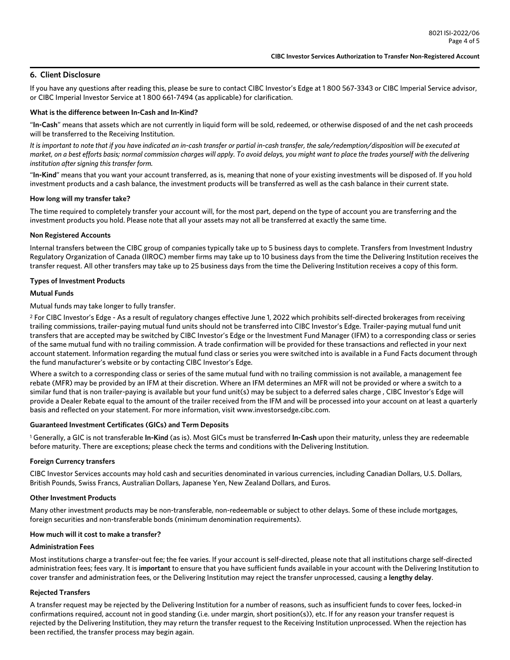# **6. Client Disclosure**

If you have any questions after reading this, please be sure to contact CIBC Investor's Edge at 1 800 567-3343 or CIBC Imperial Service advisor, or CIBC Imperial Investor Service at 1 800 661-7494 (as applicable) for clarification.

#### **What is the difference between In-Cash and In-Kind?**

"**In-Cash**" means that assets which are not currently in liquid form will be sold, redeemed, or otherwise disposed of and the net cash proceeds will be transferred to the Receiving Institution.

*It is important to note that if you have indicated an in-cash transfer or partial in-cash transfer, the sale/redemption/disposition will be executed at market, on a best efforts basis; normal commission charges will apply. To avoid delays, you might want to place the trades yourself with the delivering institution after signing this transfer form.* 

"**In-Kind**" means that you want your account transferred, as is, meaning that none of your existing investments will be disposed of. If you hold investment products and a cash balance, the investment products will be transferred as well as the cash balance in their current state.

#### **How long will my transfer take?**

The time required to completely transfer your account will, for the most part, depend on the type of account you are transferring and the investment products you hold. Please note that all your assets may not all be transferred at exactly the same time.

#### **Non Registered Accounts**

Internal transfers between the CIBC group of companies typically take up to 5 business days to complete. Transfers from Investment Industry Regulatory Organization of Canada (IIROC) member firms may take up to 10 business days from the time the Delivering Institution receives the transfer request. All other transfers may take up to 25 business days from the time the Delivering Institution receives a copy of this form.

#### **Types of Investment Products**

#### **Mutual Funds**

Mutual funds may take longer to fully transfer.

2 For CIBC Investor's Edge - As a result of regulatory changes effective June 1, 2022 which prohibits self-directed brokerages from receiving trailing commissions, trailer-paying mutual fund units should not be transferred into CIBC Investor's Edge. Trailer-paying mutual fund unit transfers that are accepted may be switched by CIBC Investor's Edge or the Investment Fund Manager (IFM) to a corresponding class or series of the same mutual fund with no trailing commission. A trade confirmation will be provided for these transactions and reflected in your next account statement. Information regarding the mutual fund class or series you were switched into is available in a Fund Facts document through the fund manufacturer's website or by contacting CIBC Investor's Edge.

Where a switch to a corresponding class or series of the same mutual fund with no trailing commission is not available, a management fee rebate (MFR) may be provided by an IFM at their discretion. Where an IFM determines an MFR will not be provided or where a switch to a similar fund that is non trailer-paying is available but your fund unit(s) may be subject to a deferred sales charge , CIBC Investor's Edge will provide a Dealer Rebate equal to the amount of the trailer received from the IFM and will be processed into your account on at least a quarterly basis and reflected on your statement. For more information, visit www.investorsedge.cibc.com.

#### **Guaranteed Investment Certificates (GICs) and Term Deposits**

1 Generally, a GIC is not transferable **In-Kind** (as is). Most GICs must be transferred **In-Cash** upon their maturity, unless they are redeemable before maturity. There are exceptions; please check the terms and conditions with the Delivering Institution.

#### **Foreign Currency transfers**

CIBC Investor Services accounts may hold cash and securities denominated in various currencies, including Canadian Dollars, U.S. Dollars, British Pounds, Swiss Francs, Australian Dollars, Japanese Yen, New Zealand Dollars, and Euros.

#### **Other Investment Products**

Many other investment products may be non-transferable, non-redeemable or subject to other delays. Some of these include mortgages, foreign securities and non-transferable bonds (minimum denomination requirements).

#### **How much will it cost to make a transfer?**

#### **Administration Fees**

Most institutions charge a transfer-out fee; the fee varies. If your account is self-directed, please note that all institutions charge self-directed administration fees; fees vary. It is **important** to ensure that you have sufficient funds available in your account with the Delivering Institution to cover transfer and administration fees, or the Delivering Institution may reject the transfer unprocessed, causing a **lengthy delay**.

#### **Rejected Transfers**

A transfer request may be rejected by the Delivering Institution for a number of reasons, such as insufficient funds to cover fees, locked-in confirmations required, account not in good standing (i.e. under margin, short position(s)), etc. If for any reason your transfer request is rejected by the Delivering Institution, they may return the transfer request to the Receiving Institution unprocessed. When the rejection has been rectified, the transfer process may begin again.